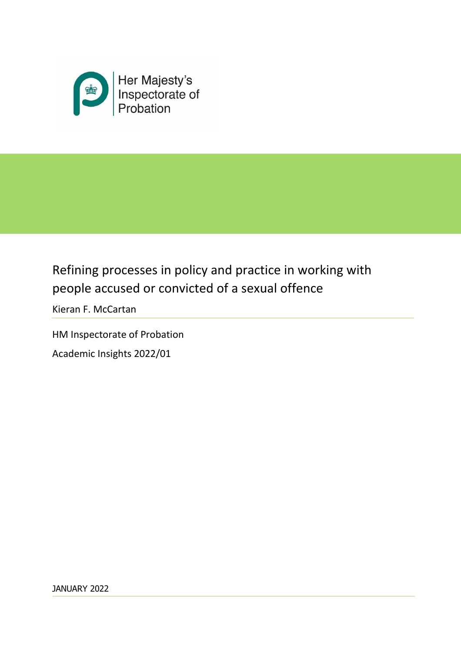

# Refining processes in policy and practice in working with people accused or convicted of a sexual offence

Kieran F. McCartan

HM Inspectorate of Probation Academic Insights 2022/01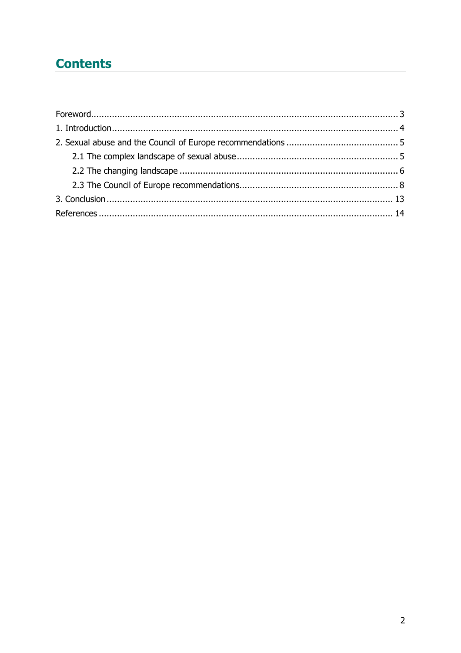## **Contents**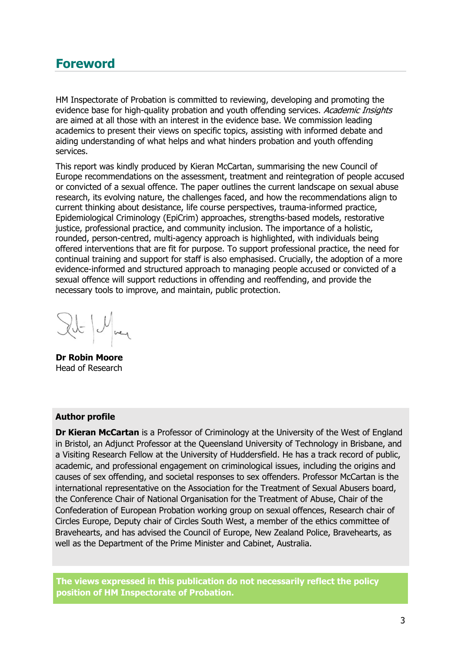### **Foreword**

HM Inspectorate of Probation is committed to reviewing, developing and promoting the evidence base for high-quality probation and youth offending services. Academic Insights are aimed at all those with an interest in the evidence base. We commission leading academics to present their views on specific topics, assisting with informed debate and aiding understanding of what helps and what hinders probation and youth offending services.

This report was kindly produced by Kieran McCartan, summarising the new Council of Europe recommendations on the assessment, treatment and reintegration of people accused or convicted of a sexual offence. The paper outlines the current landscape on sexual abuse research, its evolving nature, the challenges faced, and how the recommendations align to current thinking about desistance, life course perspectives, trauma-informed practice, Epidemiological Criminology (EpiCrim) approaches, strengths-based models, restorative justice, professional practice, and community inclusion. The importance of a holistic, rounded, person-centred, multi-agency approach is highlighted, with individuals being offered interventions that are fit for purpose. To support professional practice, the need for continual training and support for staff is also emphasised. Crucially, the adoption of a more evidence-informed and structured approach to managing people accused or convicted of a sexual offence will support reductions in offending and reoffending, and provide the necessary tools to improve, and maintain, public protection.

 $x^{\prime}$   $\sim$   $\sim$ 

**Dr Robin Moore** Head of Research

#### **Author profile**

**Dr Kieran McCartan** is a Professor of Criminology at the University of the West of England in Bristol, an Adjunct Professor at the Queensland University of Technology in Brisbane, and a Visiting Research Fellow at the University of Huddersfield. He has a track record of public, academic, and professional engagement on criminological issues, including the origins and causes of sex offending, and societal responses to sex offenders. Professor McCartan is the international representative on the Association for the Treatment of Sexual Abusers board, the Conference Chair of National Organisation for the Treatment of Abuse, Chair of the Confederation of European Probation working group on sexual offences, Research chair of Circles Europe, Deputy chair of Circles South West, a member of the ethics committee of Bravehearts, and has advised the Council of Europe, New Zealand Police, Bravehearts, as well as the Department of the Prime Minister and Cabinet, Australia.

**The views expressed in this publication do not necessarily reflect the policy position of HM Inspectorate of Probation.**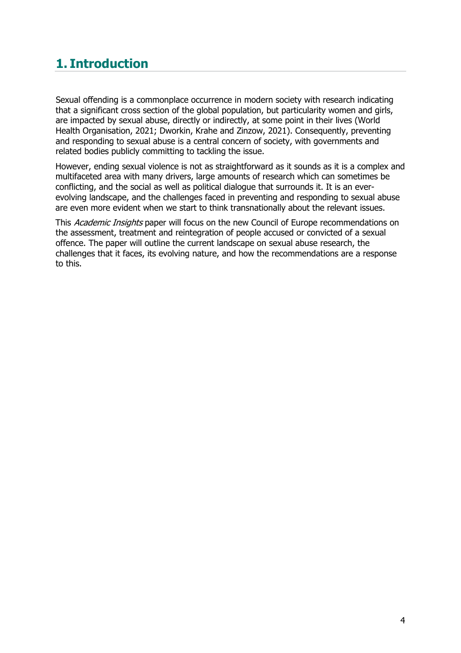## **1. Introduction**

Sexual offending is a commonplace occurrence in modern society with research indicating that a significant cross section of the global population, but particularity women and girls, are impacted by sexual abuse, directly or indirectly, at some point in their lives (World Health Organisation, 2021; Dworkin, Krahe and Zinzow, 2021). Consequently, preventing and responding to sexual abuse is a central concern of society, with governments and related bodies publicly committing to tackling the issue.

However, ending sexual violence is not as straightforward as it sounds as it is a complex and multifaceted area with many drivers, large amounts of research which can sometimes be conflicting, and the social as well as political dialogue that surrounds it. It is an everevolving landscape, and the challenges faced in preventing and responding to sexual abuse are even more evident when we start to think transnationally about the relevant issues.

This Academic Insights paper will focus on the new Council of Europe recommendations on the assessment, treatment and reintegration of people accused or convicted of a sexual offence. The paper will outline the current landscape on sexual abuse research, the challenges that it faces, its evolving nature, and how the recommendations are a response to this.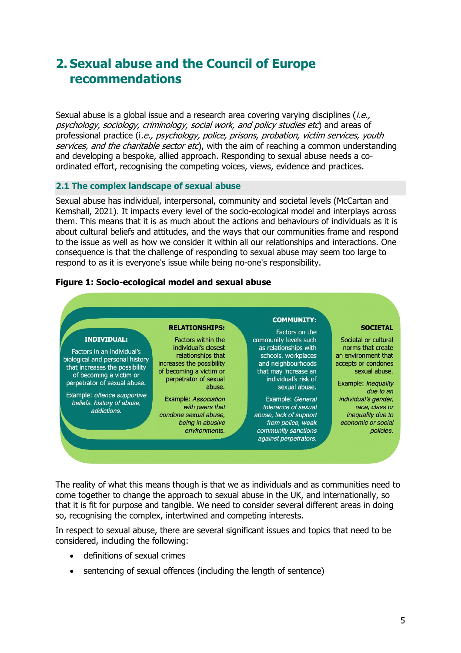### **2. Sexual abuse and the Council of Europe recommendations**

Sexual abuse is a global issue and a research area covering varying disciplines  $(i.e.,$ psychology, sociology, criminology, social work, and policy studies etc) and areas of professional practice (i.e., psychology, police, prisons, probation, victim services, youth services, and the charitable sector etc), with the aim of reaching a common understanding and developing a bespoke, allied approach. Responding to sexual abuse needs a coordinated effort, recognising the competing voices, views, evidence and practices.

#### **2.1 The complex landscape of sexual abuse**

Sexual abuse has individual, interpersonal, community and societal levels (McCartan and Kemshall, 2021). It impacts every level of the socio-ecological model and interplays across them. This means that it is as much about the actions and behaviours of individuals as it is about cultural beliefs and attitudes, and the ways that our communities frame and respond to the issue as well as how we consider it within all our relationships and interactions. One consequence is that the challenge of responding to sexual abuse may seem too large to respond to as it is everyone's issue while being no-one's responsibility.

#### **Figure 1: Socio-ecological model and sexual abuse**



The reality of what this means though is that we as individuals and as communities need to come together to change the approach to sexual abuse in the UK, and internationally, so that it is fit for purpose and tangible. We need to consider several different areas in doing so, recognising the complex, intertwined and competing interests.

In respect to sexual abuse, there are several significant issues and topics that need to be considered, including the following:

- definitions of sexual crimes
- sentencing of sexual offences (including the length of sentence)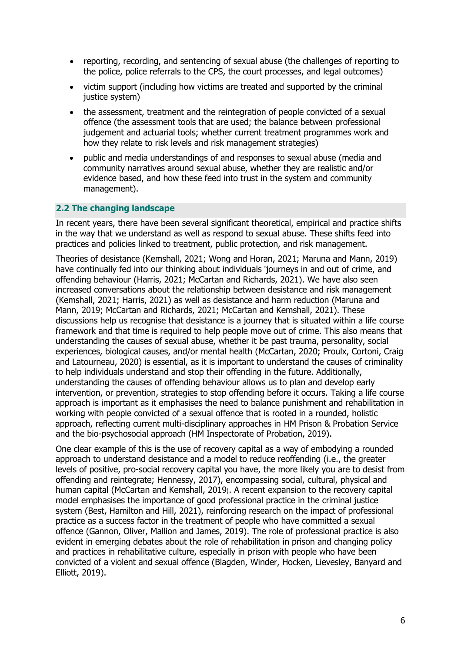- reporting, recording, and sentencing of sexual abuse (the challenges of reporting to the police, police referrals to the CPS, the court processes, and legal outcomes)
- victim support (including how victims are treated and supported by the criminal justice system)
- the assessment, treatment and the reintegration of people convicted of a sexual offence (the assessment tools that are used; the balance between professional judgement and actuarial tools; whether current treatment programmes work and how they relate to risk levels and risk management strategies)
- public and media understandings of and responses to sexual abuse (media and community narratives around sexual abuse, whether they are realistic and/or evidence based, and how these feed into trust in the system and community management).

#### **2.2 The changing landscape**

In recent years, there have been several significant theoretical, empirical and practice shifts in the way that we understand as well as respond to sexual abuse. These shifts feed into practices and policies linked to treatment, public protection, and risk management.

Theories of desistance (Kemshall, 2021; Wong and Horan, 2021; Maruna and Mann, 2019) have continually fed into our thinking about individuals 'journeys in and out of crime, and offending behaviour (Harris, 2021; McCartan and Richards, 2021). We have also seen increased conversations about the relationship between desistance and risk management (Kemshall, 2021; Harris, 2021) as well as desistance and harm reduction (Maruna and Mann, 2019; McCartan and Richards, 2021; McCartan and Kemshall, 2021). These discussions help us recognise that desistance is a journey that is situated within a life course framework and that time is required to help people move out of crime. This also means that understanding the causes of sexual abuse, whether it be past trauma, personality, social experiences, biological causes, and/or mental health (McCartan, 2020; Proulx, Cortoni, Craig and Latourneau, 2020) is essential, as it is important to understand the causes of criminality to help individuals understand and stop their offending in the future. Additionally, understanding the causes of offending behaviour allows us to plan and develop early intervention, or prevention, strategies to stop offending before it occurs. Taking a life course approach is important as it emphasises the need to balance punishment and rehabilitation in working with people convicted of a sexual offence that is rooted in a rounded, holistic approach, reflecting current multi-disciplinary approaches in HM Prison & Probation Service and the bio-psychosocial approach (HM Inspectorate of Probation, 2019).

One clear example of this is the use of recovery capital as a way of embodying a rounded approach to understand desistance and a model to reduce reoffending (i.e., the greater levels of positive, pro-social recovery capital you have, the more likely you are to desist from offending and reintegrate; Hennessy, 2017), encompassing social, cultural, physical and human capital (McCartan and Kemshall, 2019). A recent expansion to the recovery capital model emphasises the importance of good professional practice in the criminal justice system (Best, Hamilton and Hill, 2021), reinforcing research on the impact of professional practice as a success factor in the treatment of people who have committed a sexual offence (Gannon, Oliver, Mallion and James, 2019). The role of professional practice is also evident in emerging debates about the role of rehabilitation in prison and changing policy and practices in rehabilitative culture, especially in prison with people who have been convicted of a violent and sexual offence (Blagden, Winder, Hocken, Lievesley, Banyard and Elliott, 2019).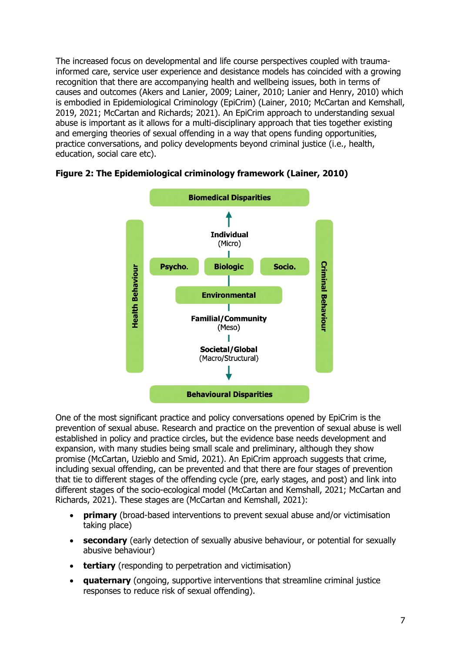The increased focus on developmental and life course perspectives coupled with traumainformed care, service user experience and desistance models has coincided with a growing recognition that there are accompanying health and wellbeing issues, both in terms of causes and outcomes (Akers and Lanier, 2009; Lainer, 2010; Lanier and Henry, 2010) which is embodied in Epidemiological Criminology (EpiCrim) (Lainer, 2010; McCartan and Kemshall, 2019, 2021; McCartan and Richards; 2021). An EpiCrim approach to understanding sexual abuse is important as it allows for a multi-disciplinary approach that ties together existing and emerging theories of sexual offending in a way that opens funding opportunities, practice conversations, and policy developments beyond criminal justice (i.e., health, education, social care etc).



### **Figure 2: The Epidemiological criminology framework (Lainer, 2010)**

One of the most significant practice and policy conversations opened by EpiCrim is the prevention of sexual abuse. Research and practice on the prevention of sexual abuse is well established in policy and practice circles, but the evidence base needs development and expansion, with many studies being small scale and preliminary, although they show promise (McCartan, Uzieblo and Smid, 2021). An EpiCrim approach suggests that crime, including sexual offending, can be prevented and that there are four stages of prevention that tie to different stages of the offending cycle (pre, early stages, and post) and link into different stages of the socio-ecological model (McCartan and Kemshall, 2021; McCartan and Richards, 2021). These stages are (McCartan and Kemshall, 2021):

- **primary** (broad-based interventions to prevent sexual abuse and/or victimisation taking place)
- **secondary** (early detection of sexually abusive behaviour, or potential for sexually abusive behaviour)
- **tertiary** (responding to perpetration and victimisation)
- **quaternary** (ongoing, supportive interventions that streamline criminal justice responses to reduce risk of sexual offending).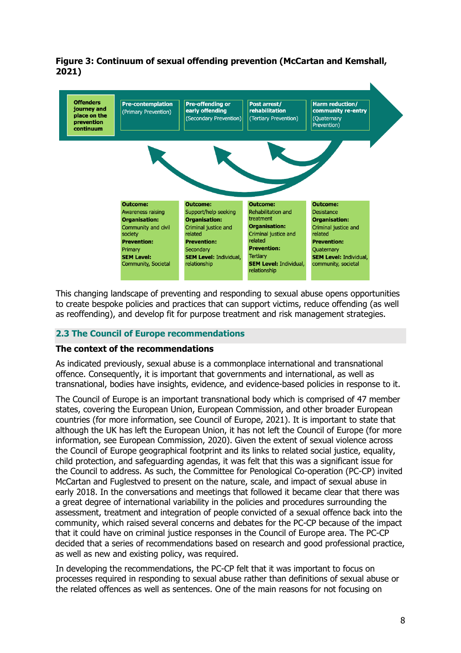

### **Figure 3: Continuum of sexual offending prevention (McCartan and Kemshall, 2021)**

This changing landscape of preventing and responding to sexual abuse opens opportunities to create bespoke policies and practices that can support victims, reduce offending (as well as reoffending), and develop fit for purpose treatment and risk management strategies.

#### **2.3 The Council of Europe recommendations**

#### **The context of the recommendations**

As indicated previously, sexual abuse is a commonplace international and transnational offence. Consequently, it is important that governments and international, as well as transnational, bodies have insights, evidence, and evidence-based policies in response to it.

The Council of Europe is an important transnational body which is comprised of 47 member states, covering the European Union, European Commission, and other broader European countries (for more information, see Council of Europe, 2021). It is important to state that although the UK has left the European Union, it has not left the Council of Europe (for more information, see European Commission, 2020). Given the extent of sexual violence across the Council of Europe geographical footprint and its links to related social justice, equality, child protection, and safeguarding agendas, it was felt that this was a significant issue for the Council to address. As such, the Committee for Penological Co-operation (PC-CP) invited McCartan and Fuglestved to present on the nature, scale, and impact of sexual abuse in early 2018. In the conversations and meetings that followed it became clear that there was a great degree of international variability in the policies and procedures surrounding the assessment, treatment and integration of people convicted of a sexual offence back into the community, which raised several concerns and debates for the PC-CP because of the impact that it could have on criminal justice responses in the Council of Europe area. The PC-CP decided that a series of recommendations based on research and good professional practice, as well as new and existing policy, was required.

In developing the recommendations, the PC-CP felt that it was important to focus on processes required in responding to sexual abuse rather than definitions of sexual abuse or the related offences as well as sentences. One of the main reasons for not focusing on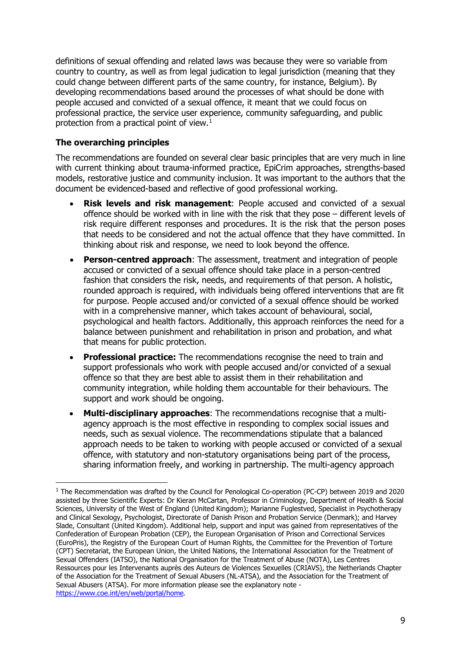definitions of sexual offending and related laws was because they were so variable from country to country, as well as from legal judication to legal jurisdiction (meaning that they could change between different parts of the same country, for instance, Belgium). By developing recommendations based around the processes of what should be done with people accused and convicted of a sexual offence, it meant that we could focus on professional practice, the service user experience, community safeguarding, and public protection from a practical point of view.<sup>[1](#page-8-0)</sup>

### **The overarching principles**

The recommendations are founded on several clear basic principles that are very much in line with current thinking about trauma-informed practice, EpiCrim approaches, strengths-based models, restorative justice and community inclusion. It was important to the authors that the document be evidenced-based and reflective of good professional working.

- **Risk levels and risk management**: People accused and convicted of a sexual offence should be worked with in line with the risk that they pose – different levels of risk require different responses and procedures. It is the risk that the person poses that needs to be considered and not the actual offence that they have committed. In thinking about risk and response, we need to look beyond the offence.
- **Person-centred approach**: The assessment, treatment and integration of people accused or convicted of a sexual offence should take place in a person-centred fashion that considers the risk, needs, and requirements of that person. A holistic, rounded approach is required, with individuals being offered interventions that are fit for purpose. People accused and/or convicted of a sexual offence should be worked with in a comprehensive manner, which takes account of behavioural, social, psychological and health factors. Additionally, this approach reinforces the need for a balance between punishment and rehabilitation in prison and probation, and what that means for public protection.
- **Professional practice:** The recommendations recognise the need to train and support professionals who work with people accused and/or convicted of a sexual offence so that they are best able to assist them in their rehabilitation and community integration, while holding them accountable for their behaviours. The support and work should be ongoing.
- **Multi‑disciplinary approaches**: The recommendations recognise that a multiagency approach is the most effective in responding to complex social issues and needs, such as sexual violence. The recommendations stipulate that a balanced approach needs to be taken to working with people accused or convicted of a sexual offence, with statutory and non-statutory organisations being part of the process, sharing information freely, and working in partnership. The multi-agency approach

<span id="page-8-0"></span><sup>&</sup>lt;sup>1</sup> The Recommendation was drafted by the Council for Penological Co-operation (PC-CP) between 2019 and 2020 assisted by three Scientific Experts: Dr Kieran McCartan, Professor in Criminology, Department of Health & Social Sciences, University of the West of England (United Kingdom); Marianne Fuglestved, Specialist in Psychotherapy and Clinical Sexology, Psychologist, Directorate of Danish Prison and Probation Service (Denmark); and Harvey Slade, Consultant (United Kingdom). Additional help, support and input was gained from representatives of the Confederation of European Probation (CEP), the European Organisation of Prison and Correctional Services (EuroPris), the Registry of the European Court of Human Rights, the Committee for the Prevention of Torture (CPT) Secretariat, the European Union, the United Nations, the International Association for the Treatment of Sexual Offenders (IATSO), the National Organisation for the Treatment of Abuse (NOTA), Les Centres Ressources pour les Intervenants auprès des Auteurs de Violences Sexuelles (CRIAVS), the Netherlands Chapter of the Association for the Treatment of Sexual Abusers (NL‑ATSA), and the Association for the Treatment of Sexual Abusers (ATSA). For more information please see the explanatory note [https://www.coe.int/en/web/portal/home.](https://www.coe.int/en/web/portal/home)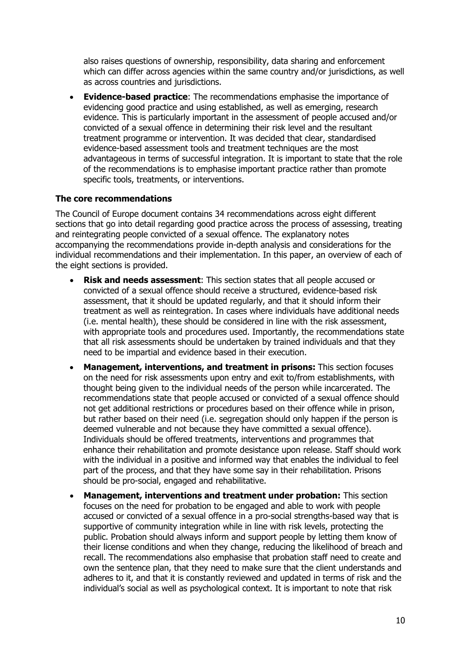also raises questions of ownership, responsibility, data sharing and enforcement which can differ across agencies within the same country and/or jurisdictions, as well as across countries and jurisdictions.

• **Evidence-based practice**: The recommendations emphasise the importance of evidencing good practice and using established, as well as emerging, research evidence. This is particularly important in the assessment of people accused and/or convicted of a sexual offence in determining their risk level and the resultant treatment programme or intervention. It was decided that clear, standardised evidence-based assessment tools and treatment techniques are the most advantageous in terms of successful integration. It is important to state that the role of the recommendations is to emphasise important practice rather than promote specific tools, treatments, or interventions.

#### **The core recommendations**

The Council of Europe document contains 34 recommendations across eight different sections that go into detail regarding good practice across the process of assessing, treating and reintegrating people convicted of a sexual offence. The explanatory notes accompanying the recommendations provide in-depth analysis and considerations for the individual recommendations and their implementation. In this paper, an overview of each of the eight sections is provided.

- **Risk and needs assessment**: This section states that all people accused or convicted of a sexual offence should receive a structured, evidence-based risk assessment, that it should be updated regularly, and that it should inform their treatment as well as reintegration. In cases where individuals have additional needs (i.e. mental health), these should be considered in line with the risk assessment, with appropriate tools and procedures used. Importantly, the recommendations state that all risk assessments should be undertaken by trained individuals and that they need to be impartial and evidence based in their execution.
- **Management, interventions, and treatment in prisons:** This section focuses on the need for risk assessments upon entry and exit to/from establishments, with thought being given to the individual needs of the person while incarcerated. The recommendations state that people accused or convicted of a sexual offence should not get additional restrictions or procedures based on their offence while in prison, but rather based on their need (i.e. segregation should only happen if the person is deemed vulnerable and not because they have committed a sexual offence). Individuals should be offered treatments, interventions and programmes that enhance their rehabilitation and promote desistance upon release. Staff should work with the individual in a positive and informed way that enables the individual to feel part of the process, and that they have some say in their rehabilitation. Prisons should be pro-social, engaged and rehabilitative.
- **Management, interventions and treatment under probation:** This section focuses on the need for probation to be engaged and able to work with people accused or convicted of a sexual offence in a pro-social strengths-based way that is supportive of community integration while in line with risk levels, protecting the public. Probation should always inform and support people by letting them know of their license conditions and when they change, reducing the likelihood of breach and recall. The recommendations also emphasise that probation staff need to create and own the sentence plan, that they need to make sure that the client understands and adheres to it, and that it is constantly reviewed and updated in terms of risk and the individual's social as well as psychological context. It is important to note that risk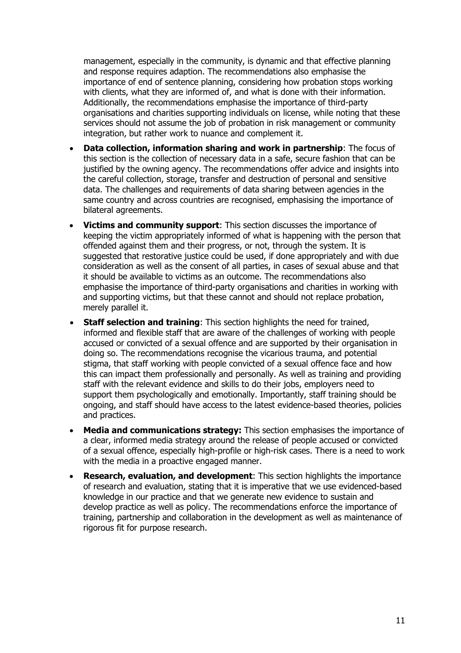management, especially in the community, is dynamic and that effective planning and response requires adaption. The recommendations also emphasise the importance of end of sentence planning, considering how probation stops working with clients, what they are informed of, and what is done with their information. Additionally, the recommendations emphasise the importance of third-party organisations and charities supporting individuals on license, while noting that these services should not assume the job of probation in risk management or community integration, but rather work to nuance and complement it.

- **Data collection, information sharing and work in partnership**: The focus of this section is the collection of necessary data in a safe, secure fashion that can be justified by the owning agency. The recommendations offer advice and insights into the careful collection, storage, transfer and destruction of personal and sensitive data. The challenges and requirements of data sharing between agencies in the same country and across countries are recognised, emphasising the importance of bilateral agreements.
- **Victims and community support**: This section discusses the importance of keeping the victim appropriately informed of what is happening with the person that offended against them and their progress, or not, through the system. It is suggested that restorative justice could be used, if done appropriately and with due consideration as well as the consent of all parties, in cases of sexual abuse and that it should be available to victims as an outcome. The recommendations also emphasise the importance of third-party organisations and charities in working with and supporting victims, but that these cannot and should not replace probation, merely parallel it.
- **Staff selection and training**: This section highlights the need for trained, informed and flexible staff that are aware of the challenges of working with people accused or convicted of a sexual offence and are supported by their organisation in doing so. The recommendations recognise the vicarious trauma, and potential stigma, that staff working with people convicted of a sexual offence face and how this can impact them professionally and personally. As well as training and providing staff with the relevant evidence and skills to do their jobs, employers need to support them psychologically and emotionally. Importantly, staff training should be ongoing, and staff should have access to the latest evidence-based theories, policies and practices.
- **Media and communications strategy:** This section emphasises the importance of a clear, informed media strategy around the release of people accused or convicted of a sexual offence, especially high-profile or high-risk cases. There is a need to work with the media in a proactive engaged manner.
- **Research, evaluation, and development**: This section highlights the importance of research and evaluation, stating that it is imperative that we use evidenced-based knowledge in our practice and that we generate new evidence to sustain and develop practice as well as policy. The recommendations enforce the importance of training, partnership and collaboration in the development as well as maintenance of rigorous fit for purpose research.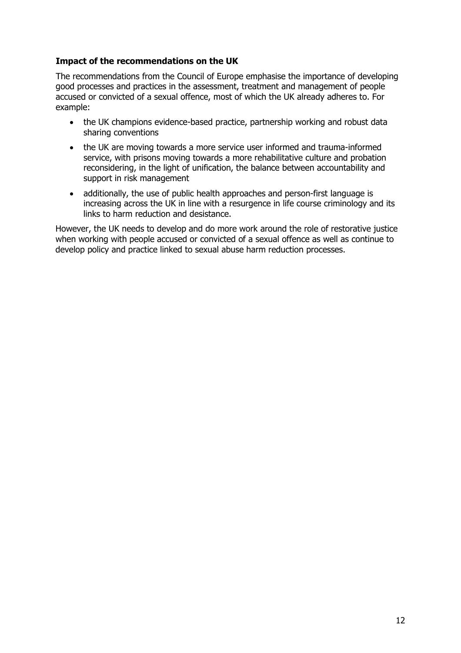### **Impact of the recommendations on the UK**

The recommendations from the Council of Europe emphasise the importance of developing good processes and practices in the assessment, treatment and management of people accused or convicted of a sexual offence, most of which the UK already adheres to. For example:

- the UK champions evidence-based practice, partnership working and robust data sharing conventions
- the UK are moving towards a more service user informed and trauma-informed service, with prisons moving towards a more rehabilitative culture and probation reconsidering, in the light of unification, the balance between accountability and support in risk management
- additionally, the use of public health approaches and person-first language is increasing across the UK in line with a resurgence in life course criminology and its links to harm reduction and desistance.

However, the UK needs to develop and do more work around the role of restorative justice when working with people accused or convicted of a sexual offence as well as continue to develop policy and practice linked to sexual abuse harm reduction processes.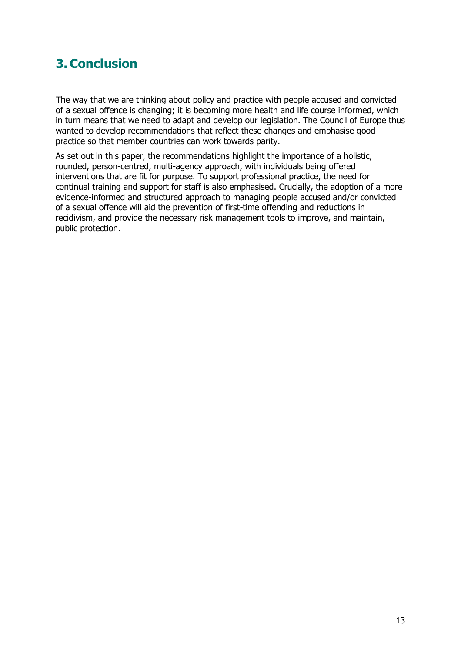## **3. Conclusion**

The way that we are thinking about policy and practice with people accused and convicted of a sexual offence is changing; it is becoming more health and life course informed, which in turn means that we need to adapt and develop our legislation. The Council of Europe thus wanted to develop recommendations that reflect these changes and emphasise good practice so that member countries can work towards parity.

As set out in this paper, the recommendations highlight the importance of a holistic, rounded, person-centred, multi-agency approach, with individuals being offered interventions that are fit for purpose. To support professional practice, the need for continual training and support for staff is also emphasised. Crucially, the adoption of a more evidence-informed and structured approach to managing people accused and/or convicted of a sexual offence will aid the prevention of first-time offending and reductions in recidivism, and provide the necessary risk management tools to improve, and maintain, public protection.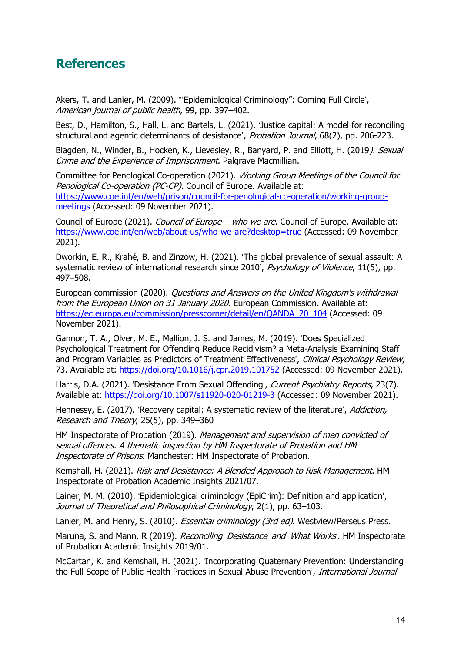### **References**

Akers, T. and Lanier, M. (2009). "'Epidemiological Criminology": Coming Full Circle', American journal of public health, 99, pp. 397–402.

Best, D., Hamilton, S., Hall, L. and Bartels, L. (2021). 'Justice capital: A model for reconciling structural and agentic determinants of desistance', Probation Journal, 68(2), pp. 206-223.

Blagden, N., Winder, B., Hocken, K., Lievesley, R., Banyard, P. and Elliott, H. (2019). Sexual Crime and the Experience of Imprisonment. Palgrave Macmillian.

Committee for Penological Co-operation (2021). Working Group Meetings of the Council for Penological Co-operation (PC-CP). Council of Europe. Available at: [https://www.coe.int/en/web/prison/council-for-penological-co-operation/working-group](https://www.coe.int/en/web/prison/council-for-penological-co-operation/working-group-meetings)[meetings](https://www.coe.int/en/web/prison/council-for-penological-co-operation/working-group-meetings) (Accessed: 09 November 2021).

Council of Europe (2021). Council of Europe – who we are. Council of Europe. Available at: <https://www.coe.int/en/web/about-us/who-we-are?desktop=true> (Accessed: 09 November 2021).

Dworkin, E. R., Krahé, B. and Zinzow, H. (2021). 'The global prevalence of sexual assault: A systematic review of international research since 2010', Psychology of Violence, 11(5), pp. 497–508.

European commission (2020). Questions and Answers on the United Kingdom's withdrawal from the European Union on 31 January 2020. European Commission. Available at: [https://ec.europa.eu/commission/presscorner/detail/en/QANDA\\_20\\_104](https://ec.europa.eu/commission/presscorner/detail/en/QANDA_20_104) (Accessed: 09 November 2021).

Gannon, T. A., Olver, M. E., Mallion, J. S. and James, M. (2019). 'Does Specialized Psychological Treatment for Offending Reduce Recidivism? a Meta-Analysis Examining Staff and Program Variables as Predictors of Treatment Effectiveness', Clinical Psychology Review, 73. Available at: <https://doi.org/10.1016/j.cpr.2019.101752> (Accessed: 09 November 2021).

Harris, D.A. (2021). 'Desistance From Sexual Offending', Current Psychiatry Reports, 23(7). Available at: <https://doi.org/10.1007/s11920-020-01219-3> (Accessed: 09 November 2021).

Hennessy, E. (2017). 'Recovery capital: A systematic review of the literature', Addiction, Research and Theory, 25(5), pp. 349–360

HM Inspectorate of Probation (2019). Management and supervision of men convicted of sexual offences. A thematic inspection by HM Inspectorate of Probation and HM Inspectorate of Prisons. Manchester: HM Inspectorate of Probation.

Kemshall, H. (2021). Risk and Desistance: A Blended Approach to Risk Management. HM Inspectorate of Probation Academic Insights 2021/07.

Lainer, M. M. (2010). 'Epidemiological criminology (EpiCrim): Definition and application', Journal of Theoretical and Philosophical Criminology, 2(1), pp. 63–103.

Lanier, M. and Henry, S. (2010). *Essential criminology (3rd ed)*. Westview/Perseus Press.

Maruna, S. and Mann, R (2019). Reconciling Desistance and What Works. HM Inspectorate of Probation Academic Insights 2019/01.

McCartan, K. and Kemshall, H. (2021). 'Incorporating Quaternary Prevention: Understanding the Full Scope of Public Health Practices in Sexual Abuse Prevention', International Journal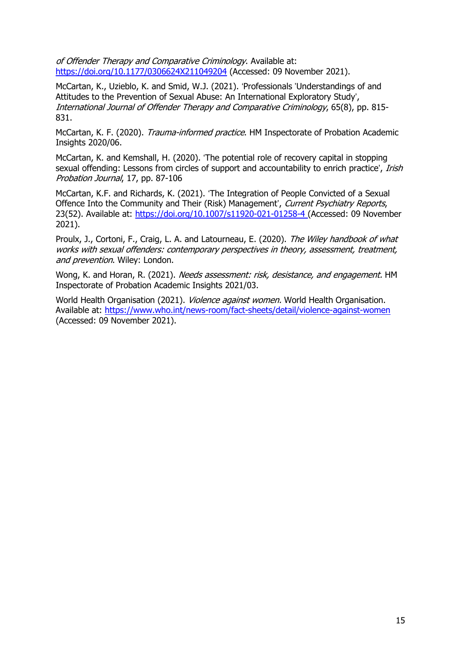of Offender Therapy and Comparative Criminology. Available at: <https://doi.org/10.1177/0306624X211049204> (Accessed: 09 November 2021).

McCartan, K., Uzieblo, K. and Smid, W.J. (2021). 'Professionals 'Understandings of and Attitudes to the Prevention of Sexual Abuse: An International Exploratory Study', International Journal of Offender Therapy and Comparative Criminology, 65(8), pp. 815- 831.

McCartan, K. F. (2020). Trauma-informed practice. HM Inspectorate of Probation Academic Insights 2020/06.

McCartan, K. and Kemshall, H. (2020). 'The potential role of recovery capital in stopping sexual offending: Lessons from circles of support and accountability to enrich practice', *Irish* Probation Journal, 17, pp. 87-106

McCartan, K.F. and Richards, K. (2021). 'The Integration of People Convicted of a Sexual Offence Into the Community and Their (Risk) Management', Current Psychiatry Reports, 23(52). Available at: <https://doi.org/10.1007/s11920-021-01258-4> (Accessed: 09 November 2021).

Proulx, J., Cortoni, F., Craig, L. A. and Latourneau, E. (2020). The Wiley handbook of what works with sexual offenders: contemporary perspectives in theory, assessment, treatment, and prevention. Wiley: London.

Wong, K. and Horan, R. (2021). Needs assessment: risk, desistance, and engagement. HM Inspectorate of Probation Academic Insights 2021/03.

World Health Organisation (2021). *Violence against women*. World Health Organisation. Available at: <https://www.who.int/news-room/fact-sheets/detail/violence-against-women> (Accessed: 09 November 2021).